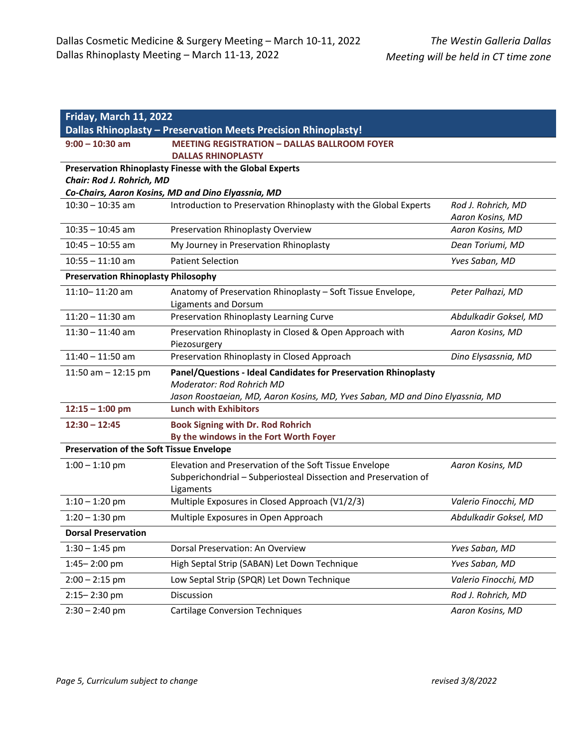| <b>Friday, March 11, 2022</b>                   |                                                                                                                                                                               |                                        |  |
|-------------------------------------------------|-------------------------------------------------------------------------------------------------------------------------------------------------------------------------------|----------------------------------------|--|
|                                                 | <b>Dallas Rhinoplasty - Preservation Meets Precision Rhinoplasty!</b>                                                                                                         |                                        |  |
| $9:00 - 10:30$ am                               | <b>MEETING REGISTRATION - DALLAS BALLROOM FOYER</b><br><b>DALLAS RHINOPLASTY</b>                                                                                              |                                        |  |
|                                                 | Preservation Rhinoplasty Finesse with the Global Experts                                                                                                                      |                                        |  |
| Chair: Rod J. Rohrich, MD                       |                                                                                                                                                                               |                                        |  |
|                                                 | Co-Chairs, Aaron Kosins, MD and Dino Elyassnia, MD                                                                                                                            |                                        |  |
| $10:30 - 10:35$ am                              | Introduction to Preservation Rhinoplasty with the Global Experts                                                                                                              | Rod J. Rohrich, MD<br>Aaron Kosins, MD |  |
| $10:35 - 10:45$ am                              | Preservation Rhinoplasty Overview                                                                                                                                             | Aaron Kosins, MD                       |  |
| $10:45 - 10:55$ am                              | My Journey in Preservation Rhinoplasty                                                                                                                                        | Dean Toriumi, MD                       |  |
| $10:55 - 11:10$ am                              | <b>Patient Selection</b>                                                                                                                                                      | Yves Saban, MD                         |  |
| <b>Preservation Rhinoplasty Philosophy</b>      |                                                                                                                                                                               |                                        |  |
| 11:10-11:20 am                                  | Anatomy of Preservation Rhinoplasty - Soft Tissue Envelope,<br><b>Ligaments and Dorsum</b>                                                                                    | Peter Palhazi, MD                      |  |
| $11:20 - 11:30$ am                              | Preservation Rhinoplasty Learning Curve                                                                                                                                       | Abdulkadir Goksel, MD                  |  |
| $11:30 - 11:40$ am                              | Preservation Rhinoplasty in Closed & Open Approach with<br>Piezosurgery                                                                                                       | Aaron Kosins, MD                       |  |
| $11:40 - 11:50$ am                              | Preservation Rhinoplasty in Closed Approach                                                                                                                                   | Dino Elysassnia, MD                    |  |
| 11:50 am $-$ 12:15 pm                           | Panel/Questions - Ideal Candidates for Preservation Rhinoplasty<br>Moderator: Rod Rohrich MD<br>Jason Roostaeian, MD, Aaron Kosins, MD, Yves Saban, MD and Dino Elyassnia, MD |                                        |  |
| $12:15 - 1:00$ pm                               | <b>Lunch with Exhibitors</b>                                                                                                                                                  |                                        |  |
| $12:30 - 12:45$                                 | <b>Book Signing with Dr. Rod Rohrich</b><br>By the windows in the Fort Worth Foyer                                                                                            |                                        |  |
| <b>Preservation of the Soft Tissue Envelope</b> |                                                                                                                                                                               |                                        |  |
| $1:00 - 1:10$ pm                                | Elevation and Preservation of the Soft Tissue Envelope<br>Subperichondrial - Subperiosteal Dissection and Preservation of<br>Ligaments                                        | Aaron Kosins, MD                       |  |
| $1:10 - 1:20$ pm                                | Multiple Exposures in Closed Approach (V1/2/3)                                                                                                                                | Valerio Finocchi, MD                   |  |
| $1:20 - 1:30$ pm                                | Multiple Exposures in Open Approach                                                                                                                                           | Abdulkadir Goksel, MD                  |  |
| <b>Dorsal Preservation</b>                      |                                                                                                                                                                               |                                        |  |
| $1:30 - 1:45$ pm                                | Dorsal Preservation: An Overview                                                                                                                                              | Yves Saban, MD                         |  |
| 1:45-2:00 pm                                    | High Septal Strip (SABAN) Let Down Technique                                                                                                                                  | Yves Saban, MD                         |  |
| $2:00 - 2:15$ pm                                | Low Septal Strip (SPQR) Let Down Technique                                                                                                                                    | Valerio Finocchi, MD                   |  |
| $2:15 - 2:30$ pm                                | Discussion                                                                                                                                                                    | Rod J. Rohrich, MD                     |  |
| $2:30 - 2:40$ pm                                | <b>Cartilage Conversion Techniques</b>                                                                                                                                        | Aaron Kosins, MD                       |  |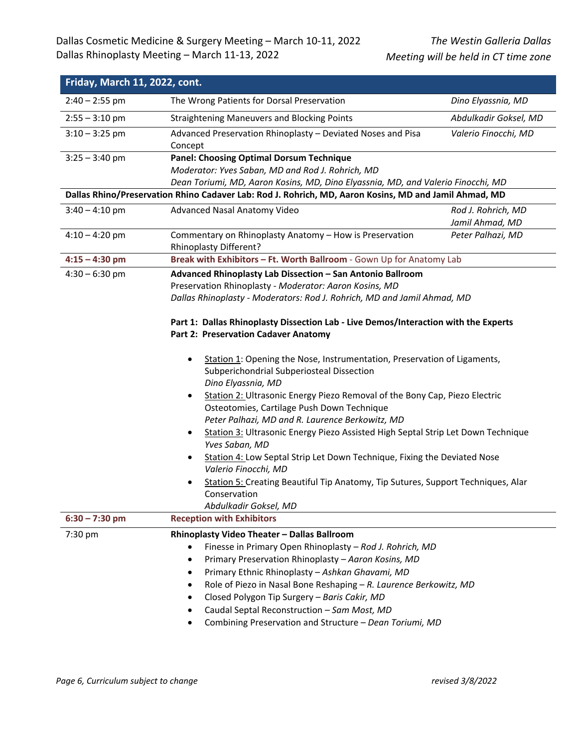| Friday, March 11, 2022, cont. |                                                                                                                                                                    |                       |  |
|-------------------------------|--------------------------------------------------------------------------------------------------------------------------------------------------------------------|-----------------------|--|
| $2:40 - 2:55$ pm              | The Wrong Patients for Dorsal Preservation                                                                                                                         | Dino Elyassnia, MD    |  |
| $2:55 - 3:10$ pm              | <b>Straightening Maneuvers and Blocking Points</b>                                                                                                                 | Abdulkadir Goksel, MD |  |
| $3:10 - 3:25$ pm              | Advanced Preservation Rhinoplasty - Deviated Noses and Pisa<br>Concept                                                                                             | Valerio Finocchi, MD  |  |
| $3:25 - 3:40$ pm              | <b>Panel: Choosing Optimal Dorsum Technique</b>                                                                                                                    |                       |  |
|                               | Moderator: Yves Saban, MD and Rod J. Rohrich, MD                                                                                                                   |                       |  |
|                               | Dean Toriumi, MD, Aaron Kosins, MD, Dino Elyassnia, MD, and Valerio Finocchi, MD                                                                                   |                       |  |
|                               | Dallas Rhino/Preservation Rhino Cadaver Lab: Rod J. Rohrich, MD, Aaron Kosins, MD and Jamil Ahmad, MD                                                              |                       |  |
| $3:40 - 4:10$ pm              | Advanced Nasal Anatomy Video                                                                                                                                       | Rod J. Rohrich, MD    |  |
|                               |                                                                                                                                                                    | Jamil Ahmad, MD       |  |
| $4:10 - 4:20$ pm              | Commentary on Rhinoplasty Anatomy - How is Preservation<br>Rhinoplasty Different?                                                                                  | Peter Palhazi, MD     |  |
| $4:15 - 4:30$ pm              | Break with Exhibitors - Ft. Worth Ballroom - Gown Up for Anatomy Lab                                                                                               |                       |  |
| $4:30 - 6:30$ pm              | Advanced Rhinoplasty Lab Dissection - San Antonio Ballroom                                                                                                         |                       |  |
|                               | Preservation Rhinoplasty - Moderator: Aaron Kosins, MD                                                                                                             |                       |  |
|                               | Dallas Rhinoplasty - Moderators: Rod J. Rohrich, MD and Jamil Ahmad, MD                                                                                            |                       |  |
|                               | Part 1: Dallas Rhinoplasty Dissection Lab - Live Demos/Interaction with the Experts<br>Part 2: Preservation Cadaver Anatomy                                        |                       |  |
|                               | Station 1: Opening the Nose, Instrumentation, Preservation of Ligaments,<br>$\bullet$<br>Subperichondrial Subperiosteal Dissection<br>Dino Elyassnia, MD           |                       |  |
|                               | Station 2: Ultrasonic Energy Piezo Removal of the Bony Cap, Piezo Electric<br>$\bullet$<br>Osteotomies, Cartilage Push Down Technique                              |                       |  |
|                               | Peter Palhazi, MD and R. Laurence Berkowitz, MD<br>Station 3: Ultrasonic Energy Piezo Assisted High Septal Strip Let Down Technique<br>$\bullet$<br>Yves Saban, MD |                       |  |
|                               | Station 4: Low Septal Strip Let Down Technique, Fixing the Deviated Nose<br>Valerio Finocchi, MD                                                                   |                       |  |
|                               | Station 5: Creating Beautiful Tip Anatomy, Tip Sutures, Support Techniques, Alar<br>٠<br>Conservation<br>Abdulkadir Goksel, MD                                     |                       |  |
| $6:30 - 7:30$ pm              | <b>Reception with Exhibitors</b>                                                                                                                                   |                       |  |
| 7:30 pm                       | Rhinoplasty Video Theater - Dallas Ballroom                                                                                                                        |                       |  |
|                               | Finesse in Primary Open Rhinoplasty - Rod J. Rohrich, MD<br>$\bullet$                                                                                              |                       |  |
|                               | Primary Preservation Rhinoplasty - Aaron Kosins, MD<br>$\bullet$                                                                                                   |                       |  |
|                               | Primary Ethnic Rhinoplasty - Ashkan Ghavami, MD                                                                                                                    |                       |  |
|                               | Role of Piezo in Nasal Bone Reshaping - R. Laurence Berkowitz, MD<br>٠                                                                                             |                       |  |
|                               | Closed Polygon Tip Surgery - Baris Cakir, MD                                                                                                                       |                       |  |
|                               | Caudal Septal Reconstruction - Sam Most, MD                                                                                                                        |                       |  |
|                               | Combining Preservation and Structure - Dean Toriumi, MD                                                                                                            |                       |  |
|                               |                                                                                                                                                                    |                       |  |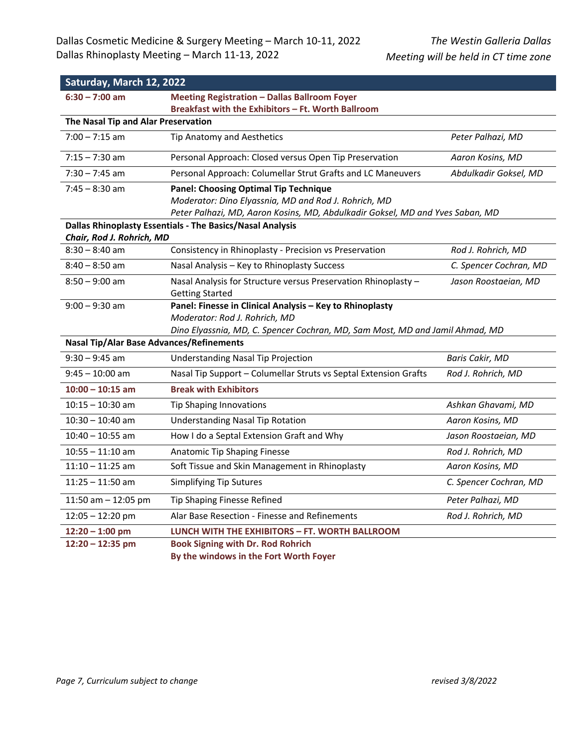| Saturday, March 12, 2022                        |                                                                                                                                                                                       |                        |  |
|-------------------------------------------------|---------------------------------------------------------------------------------------------------------------------------------------------------------------------------------------|------------------------|--|
| $6:30 - 7:00$ am                                | <b>Meeting Registration - Dallas Ballroom Foyer</b>                                                                                                                                   |                        |  |
|                                                 | Breakfast with the Exhibitors - Ft. Worth Ballroom                                                                                                                                    |                        |  |
| The Nasal Tip and Alar Preservation             |                                                                                                                                                                                       |                        |  |
| $7:00 - 7:15$ am                                | Tip Anatomy and Aesthetics                                                                                                                                                            | Peter Palhazi, MD      |  |
| $7:15 - 7:30$ am                                | Personal Approach: Closed versus Open Tip Preservation                                                                                                                                | Aaron Kosins, MD       |  |
| $7:30 - 7:45$ am                                | Personal Approach: Columellar Strut Grafts and LC Maneuvers                                                                                                                           | Abdulkadir Goksel, MD  |  |
| $7:45 - 8:30$ am                                | <b>Panel: Choosing Optimal Tip Technique</b><br>Moderator: Dino Elyassnia, MD and Rod J. Rohrich, MD<br>Peter Palhazi, MD, Aaron Kosins, MD, Abdulkadir Goksel, MD and Yves Saban, MD |                        |  |
|                                                 | Dallas Rhinoplasty Essentials - The Basics/Nasal Analysis                                                                                                                             |                        |  |
| Chair, Rod J. Rohrich, MD                       |                                                                                                                                                                                       |                        |  |
| $8:30 - 8:40$ am                                | Consistency in Rhinoplasty - Precision vs Preservation                                                                                                                                | Rod J. Rohrich, MD     |  |
| $8:40 - 8:50$ am                                | Nasal Analysis - Key to Rhinoplasty Success                                                                                                                                           | C. Spencer Cochran, MD |  |
| $8:50 - 9:00$ am                                | Nasal Analysis for Structure versus Preservation Rhinoplasty -<br><b>Getting Started</b>                                                                                              | Jason Roostaeian, MD   |  |
| $9:00 - 9:30$ am                                | Panel: Finesse in Clinical Analysis - Key to Rhinoplasty<br>Moderator: Rod J. Rohrich, MD<br>Dino Elyassnia, MD, C. Spencer Cochran, MD, Sam Most, MD and Jamil Ahmad, MD             |                        |  |
| <b>Nasal Tip/Alar Base Advances/Refinements</b> |                                                                                                                                                                                       |                        |  |
| $9:30 - 9:45$ am                                | <b>Understanding Nasal Tip Projection</b>                                                                                                                                             | Baris Cakir, MD        |  |
| $9:45 - 10:00$ am                               | Nasal Tip Support - Columellar Struts vs Septal Extension Grafts                                                                                                                      | Rod J. Rohrich, MD     |  |
| $10:00 - 10:15$ am                              | <b>Break with Exhibitors</b>                                                                                                                                                          |                        |  |
| $10:15 - 10:30$ am                              | <b>Tip Shaping Innovations</b>                                                                                                                                                        | Ashkan Ghavami, MD     |  |
| $10:30 - 10:40$ am                              | <b>Understanding Nasal Tip Rotation</b>                                                                                                                                               | Aaron Kosins, MD       |  |
| $10:40 - 10:55$ am                              | How I do a Septal Extension Graft and Why                                                                                                                                             | Jason Roostaeian, MD   |  |
| $10:55 - 11:10$ am                              | Anatomic Tip Shaping Finesse                                                                                                                                                          | Rod J. Rohrich, MD     |  |
| $11:10 - 11:25$ am                              | Soft Tissue and Skin Management in Rhinoplasty                                                                                                                                        | Aaron Kosins, MD       |  |
| $11:25 - 11:50$ am                              | <b>Simplifying Tip Sutures</b>                                                                                                                                                        | C. Spencer Cochran, MD |  |
| 11:50 am $-$ 12:05 pm                           | Tip Shaping Finesse Refined                                                                                                                                                           | Peter Palhazi, MD      |  |
| 12:05 - 12:20 pm                                | Alar Base Resection - Finesse and Refinements                                                                                                                                         | Rod J. Rohrich, MD     |  |
| $12:20 - 1:00$ pm                               | LUNCH WITH THE EXHIBITORS - FT. WORTH BALLROOM                                                                                                                                        |                        |  |
| $12:20 - 12:35$ pm                              | <b>Book Signing with Dr. Rod Rohrich</b><br>Du Aba udadeun in Aba Faut Wauth Fause                                                                                                    |                        |  |

**By the windows in the Fort Worth Foyer**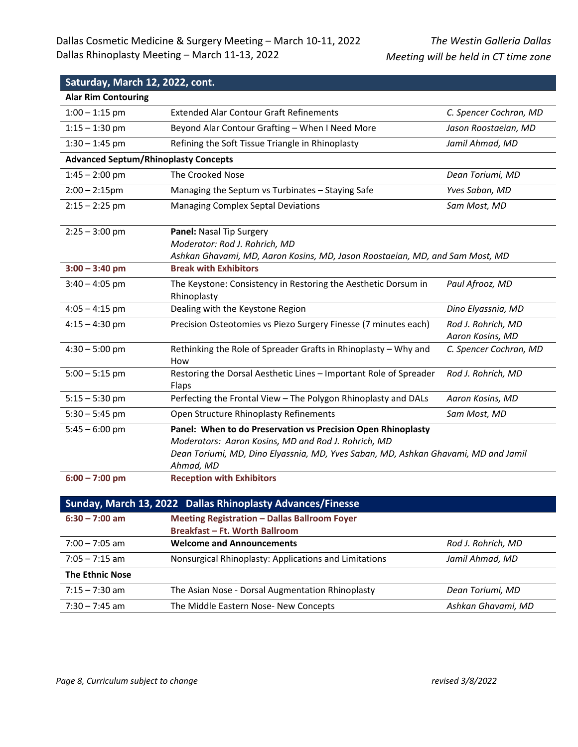## **Saturday, March 12, 2022, cont.**

| <b>Alar Rim Contouring</b>                  |                                                                                                                                                                                                                                                            |                                        |
|---------------------------------------------|------------------------------------------------------------------------------------------------------------------------------------------------------------------------------------------------------------------------------------------------------------|----------------------------------------|
| $1:00 - 1:15$ pm                            | <b>Extended Alar Contour Graft Refinements</b>                                                                                                                                                                                                             | C. Spencer Cochran, MD                 |
| $1:15 - 1:30$ pm                            | Beyond Alar Contour Grafting - When I Need More                                                                                                                                                                                                            | Jason Roostaeian, MD                   |
| $1:30 - 1:45$ pm                            | Refining the Soft Tissue Triangle in Rhinoplasty                                                                                                                                                                                                           | Jamil Ahmad, MD                        |
| <b>Advanced Septum/Rhinoplasty Concepts</b> |                                                                                                                                                                                                                                                            |                                        |
| $1:45 - 2:00$ pm                            | The Crooked Nose                                                                                                                                                                                                                                           | Dean Toriumi, MD                       |
| $2:00 - 2:15$ pm                            | Managing the Septum vs Turbinates - Staying Safe                                                                                                                                                                                                           | Yves Saban, MD                         |
| $2:15 - 2:25$ pm                            | <b>Managing Complex Septal Deviations</b>                                                                                                                                                                                                                  | Sam Most, MD                           |
| $2:25 - 3:00$ pm                            | Panel: Nasal Tip Surgery<br>Moderator: Rod J. Rohrich, MD<br>Ashkan Ghavami, MD, Aaron Kosins, MD, Jason Roostaeian, MD, and Sam Most, MD                                                                                                                  |                                        |
| $3:00 - 3:40$ pm                            | <b>Break with Exhibitors</b>                                                                                                                                                                                                                               |                                        |
| $3:40 - 4:05$ pm                            | The Keystone: Consistency in Restoring the Aesthetic Dorsum in<br>Rhinoplasty                                                                                                                                                                              | Paul Afrooz, MD                        |
| $4:05 - 4:15$ pm                            | Dealing with the Keystone Region                                                                                                                                                                                                                           | Dino Elyassnia, MD                     |
| $4:15 - 4:30$ pm                            | Precision Osteotomies vs Piezo Surgery Finesse (7 minutes each)                                                                                                                                                                                            | Rod J. Rohrich, MD<br>Aaron Kosins, MD |
| $4:30 - 5:00$ pm                            | Rethinking the Role of Spreader Grafts in Rhinoplasty - Why and<br>How                                                                                                                                                                                     | C. Spencer Cochran, MD                 |
| $5:00 - 5:15$ pm                            | Restoring the Dorsal Aesthetic Lines - Important Role of Spreader<br>Flaps                                                                                                                                                                                 | Rod J. Rohrich, MD                     |
| $5:15 - 5:30$ pm                            | Perfecting the Frontal View - The Polygon Rhinoplasty and DALs                                                                                                                                                                                             | Aaron Kosins, MD                       |
| $5:30 - 5:45$ pm                            | Open Structure Rhinoplasty Refinements                                                                                                                                                                                                                     | Sam Most, MD                           |
| $5:45 - 6:00$ pm<br>$6:00 - 7:00$ pm        | Panel: When to do Preservation vs Precision Open Rhinoplasty<br>Moderators: Aaron Kosins, MD and Rod J. Rohrich, MD<br>Dean Toriumi, MD, Dino Elyassnia, MD, Yves Saban, MD, Ashkan Ghavami, MD and Jamil<br>Ahmad, MD<br><b>Reception with Exhibitors</b> |                                        |
|                                             |                                                                                                                                                                                                                                                            |                                        |

| <b>Sunday, March 13, 2022 Dallas Rhinoplasty Advances/Finesse</b> |                                                       |                    |
|-------------------------------------------------------------------|-------------------------------------------------------|--------------------|
| $6:30 - 7:00$ am                                                  | <b>Meeting Registration - Dallas Ballroom Foyer</b>   |                    |
|                                                                   | <b>Breakfast - Ft. Worth Ballroom</b>                 |                    |
| $7:00 - 7:05$ am                                                  | <b>Welcome and Announcements</b>                      | Rod J. Rohrich, MD |
| $7:05 - 7:15$ am                                                  | Nonsurgical Rhinoplasty: Applications and Limitations | Jamil Ahmad, MD    |
| <b>The Ethnic Nose</b>                                            |                                                       |                    |
| $7:15 - 7:30$ am                                                  | The Asian Nose - Dorsal Augmentation Rhinoplasty      | Dean Toriumi, MD   |
| $7:30 - 7:45$ am                                                  | The Middle Eastern Nose- New Concepts                 | Ashkan Ghavami, MD |